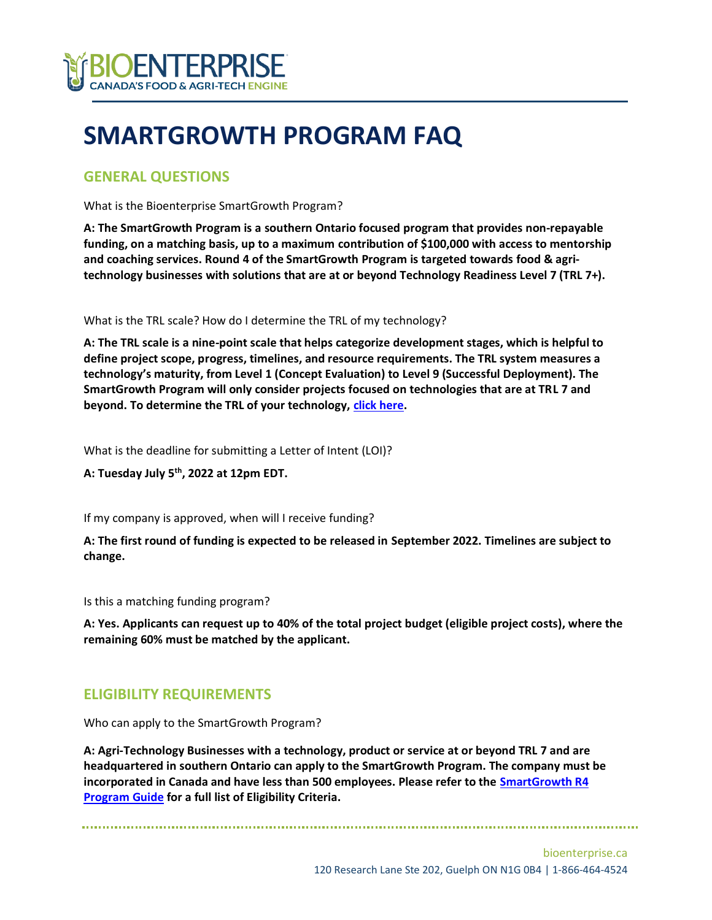

# **SMARTGROWTH PROGRAM FAQ**

### **GENERAL QUESTIONS**

What is the Bioenterprise SmartGrowth Program?

**A: The SmartGrowth Program is a southern Ontario focused program that provides non-repayable funding, on a matching basis, up to a maximum contribution of \$100,000 with access to mentorship and coaching services. Round 4 of the SmartGrowth Program is targeted towards food & agritechnology businesses with solutions that are at or beyond Technology Readiness Level 7 (TRL 7+).** 

What is the TRL scale? How do I determine the TRL of my technology?

**A: The TRL scale is a nine-point scale that helps categorize development stages, which is helpful to define project scope, progress, timelines, and resource requirements. The TRL system measures a technology's maturity, from Level 1 (Concept Evaluation) to Level 9 (Successful Deployment). The SmartGrowth Program will only consider projects focused on technologies that are at TRL 7 and beyond. To determine the TRL of your technology, [click here.](https://www.ic.gc.ca/eic/site/080.nsf/eng/00002.html)**

What is the deadline for submitting a Letter of Intent (LOI)?

**A: Tuesday July 5th, 2022 at 12pm EDT.** 

If my company is approved, when will I receive funding?

**A: The first round of funding is expected to be released in September 2022. Timelines are subject to change.** 

Is this a matching funding program?

**A: Yes. Applicants can request up to 40% of the total project budget (eligible project costs), where the remaining 60% must be matched by the applicant.** 

## **ELIGIBILITY REQUIREMENTS**

Who can apply to the SmartGrowth Program?

**A: Agri-Technology Businesses with a technology, product or service at or beyond TRL 7 and are headquartered in southern Ontario can apply to the SmartGrowth Program. The company must be incorporated in Canada and have less than 500 employees. Please refer to the [SmartGrowth R4](https://bioenterprise.ca/wp-content/uploads/2022/05/R4_SmartGrowth_ProgramGuide_V2.pdf)  [Program](https://bioenterprise.ca/wp-content/uploads/2022/05/R4_SmartGrowth_ProgramGuide_V2.pdf) Guide for a full list of Eligibility Criteria.**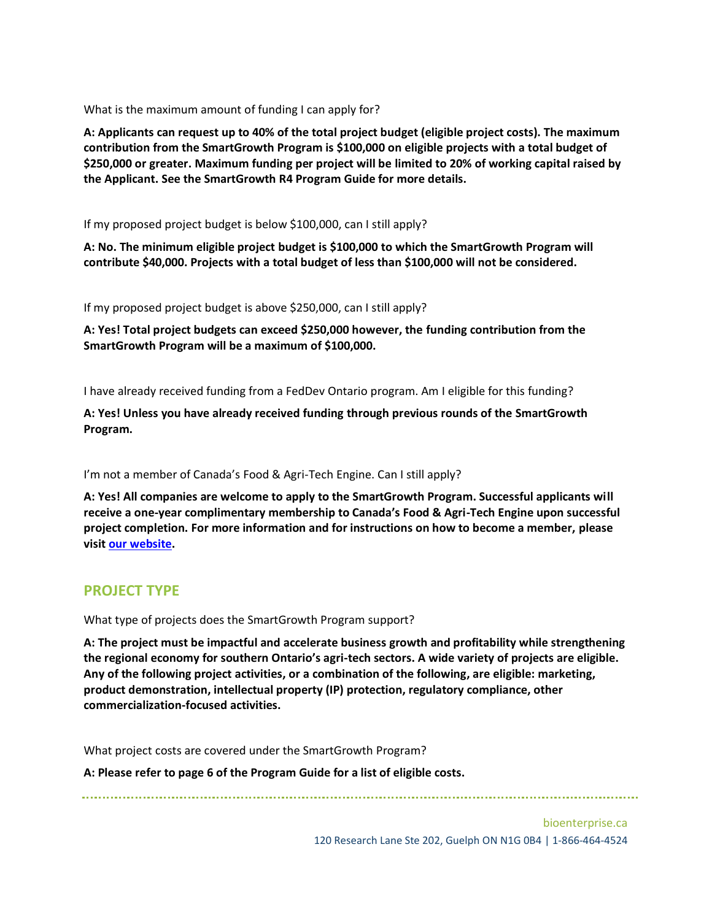What is the maximum amount of funding I can apply for?

**A: Applicants can request up to 40% of the total project budget (eligible project costs). The maximum contribution from the SmartGrowth Program is \$100,000 on eligible projects with a total budget of \$250,000 or greater. Maximum funding per project will be limited to 20% of working capital raised by the Applicant. See the SmartGrowth R4 Program Guide for more details.** 

If my proposed project budget is below \$100,000, can I still apply?

**A: No. The minimum eligible project budget is \$100,000 to which the SmartGrowth Program will contribute \$40,000. Projects with a total budget of less than \$100,000 will not be considered.**

If my proposed project budget is above \$250,000, can I still apply?

**A: Yes! Total project budgets can exceed \$250,000 however, the funding contribution from the SmartGrowth Program will be a maximum of \$100,000.** 

I have already received funding from a FedDev Ontario program. Am I eligible for this funding?

**A: Yes! Unless you have already received funding through previous rounds of the SmartGrowth Program.**

I'm not a member of Canada's Food & Agri-Tech Engine. Can I still apply?

**A: Yes! All companies are welcome to apply to the SmartGrowth Program. Successful applicants will receive a one-year complimentary membership to Canada's Food & Agri-Tech Engine upon successful project completion. For more information and for instructions on how to become a member, please visit [our website.](https://bioenterprise.ca/membership/)**

#### **PROJECT TYPE**

What type of projects does the SmartGrowth Program support?

**A: The project must be impactful and accelerate business growth and profitability while strengthening the regional economy for southern Ontario's agri-tech sectors. A wide variety of projects are eligible. Any of the following project activities, or a combination of the following, are eligible: marketing, product demonstration, intellectual property (IP) protection, regulatory compliance, other commercialization-focused activities.** 

What project costs are covered under the SmartGrowth Program?

**A: Please refer to page 6 of the Program Guide for a list of eligible costs.**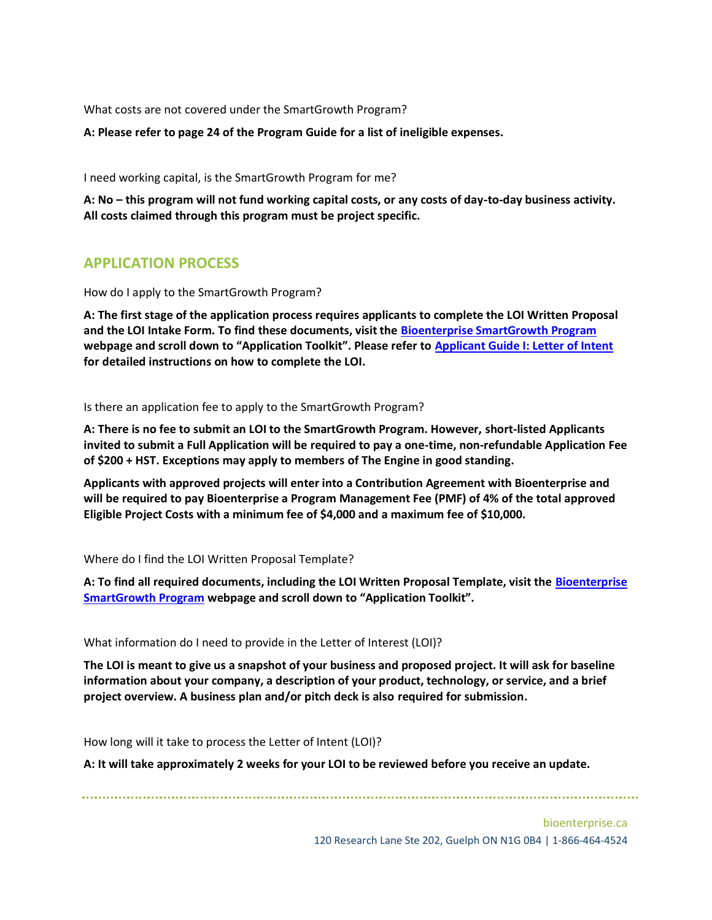What costs are not covered under the SmartGrowth Program?

**A: Please refer to page 24 of the Program Guide for a list of ineligible expenses.** 

I need working capital, is the SmartGrowth Program for me?

**A: No – this program will not fund working capital costs, or any costs of day-to-day business activity. All costs claimed through this program must be project specific.** 

## **APPLICATION PROCESS**

How do I apply to the SmartGrowth Program?

**A: The first stage of the application process requires applicants to complete the LOI Written Proposal and the LOI Intake Form. To find these documents, visit the [Bioenterprise SmartGrowth Program](https://bioenterprise.ca/programs/smartgrowth-program/) webpage and scroll down to "Application Toolkit". Please refer to [Applicant Guide I: Letter of Intent](https://bioenterprise.ca/wp-content/uploads/2022/05/R4_SmartGrowth_ApplicantGuide1_V3.pdf) for detailed instructions on how to complete the LOI.** 

Is there an application fee to apply to the SmartGrowth Program?

**A: There is no fee to submit an LOI to the SmartGrowth Program. However, short-listed Applicants invited to submit a Full Application will be required to pay a one-time, non-refundable Application Fee of \$200 + HST. Exceptions may apply to members of The Engine in good standing.** 

**Applicants with approved projects will enter into a Contribution Agreement with Bioenterprise and will be required to pay Bioenterprise a Program Management Fee (PMF) of 4% of the total approved Eligible Project Costs with a minimum fee of \$4,000 and a maximum fee of \$10,000.**

Where do I find the LOI Written Proposal Template?

**A: To find all required documents, including the LOI Written Proposal Template, visit the [Bioenterprise](https://bioenterprise.ca/programs/smartgrowth-program/)  [SmartGrowth Program](https://bioenterprise.ca/programs/smartgrowth-program/) webpage and scroll down to "Application Toolkit".** 

What information do I need to provide in the Letter of Interest (LOI)?

**The LOI is meant to give us a snapshot of your business and proposed project. It will ask for baseline information about your company, a description of your product, technology, or service, and a brief project overview. A business plan and/or pitch deck is also required for submission.** 

How long will it take to process the Letter of Intent (LOI)?

**A: It will take approximately 2 weeks for your LOI to be reviewed before you receive an update.**